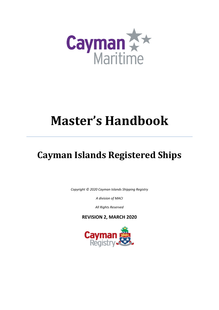

# **Master's Handbook**

## **Cayman Islands Registered Ships**

*Copyright © 2020 Cayman Islands Shipping Registry*

*A division of MACI*

*All Rights Reserved*

**REVISION 2, MARCH 2020**

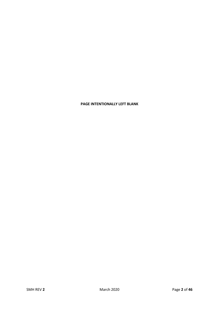## **PAGE INTENTIONALLY LEFT BLANK**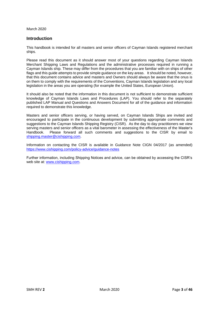March 2020

#### **Introduction**

This handbook is intended for all masters and senior officers of Cayman Islands registered merchant ships.

Please read this document as it should answer most of your questions regarding Cayman Islands Merchant Shipping Laws and Regulations and the administrative processes required in running a Cayman Islands ship. These may differ from the procedures that you are familiar with on ships of other flags and this guide attempts to provide simple guidance on the key areas. It should be noted, however, that this document contains advice and masters and Owners should always be aware that the onus is on them to comply with the requirements of the Conventions, Cayman Islands legislation and any local legislation in the areas you are operating (for example the United States, European Union).

It should also be noted that the information in this document is not sufficient to demonstrate sufficient knowledge of Cayman Islands Laws and Procedures (LAP). You should refer to the separately published LAP Manual and Questions and Answers Document for all of the guidance and information required to demonstrate this knowledge.

Masters and senior officers serving, or having served, on Cayman Islands Ships are invited and encouraged to participate in the continuous development by submitting appropriate comments and suggestions to the Cayman Islands Shipping Registry (CISR). As the day to day practitioners we view serving masters and senior officers as a vital barometer in assessing the effectiveness of the Master's Handbook. Please forward all such comments and suggestions to the CISR by email to [shipping.master@cishipping.com.](mailto:shipping.master@cishipping.com)

Information on contacting the CISR is available in Guidance Note CIGN 04/2017 (as amended) <https://www.cishipping.com/policy-advice/guidance-notes>

Further information, including Shipping Notices and advice, can be obtained by accessing the CISR's web site at: [www.cishipping.com.](http://www.cishipping.com/)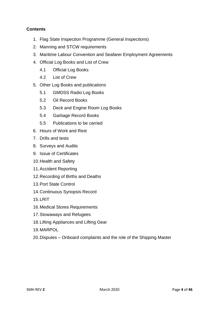## **Contents**

- 1. Flag State Inspection Programme (General Inspections)
- 2. Manning and STCW requirements
- 3. Maritime Labour Convention and Seafarer Employment Agreements
- 4. Official Log Books and List of Crew
	- 4.1 Official Log Books
	- 4.2 List of Crew
- 5. Other Log Books and publications
	- 5.1 GMDSS Radio Log Books
	- 5.2 Oil Record Books
	- 5.3 Deck and Engine Room Log Books
	- 5.4 Garbage Record Books
	- 5.5 Publications to be carried
- 6. Hours of Work and Rest
- 7. Drills and tests
- 8. Surveys and Audits
- 9. Issue of Certificates
- 10.Health and Safety
- 11.Accident Reporting
- 12.Recording of Births and Deaths
- 13.Port State Control
- 14.Continuous Synopsis Record
- 15.LRIT
- 16.Medical Stores Requirements
- 17.Stowaways and Refugees
- 18.Lifting Appliances and Lifting Gear
- 19.MARPOL
- 20.Disputes Onboard complaints and the role of the Shipping Master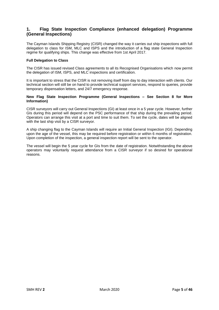## **1. Flag State Inspection Compliance (enhanced delegation) Programme (General Inspections)**

The Cayman Islands Shipping Registry (CISR) changed the way it carries out ship inspections with full delegation to class for ISM, MLC and ISPS and the introduction of a flag state General Inspection regime for qualifying ships. This change was effective from 1st April 2017.

#### **Full Delegation to Class**

The CISR has issued revised Class agreements to all its Recognised Organisations which now permit the delegation of ISM, ISPS, and MLC inspections and certification.

It is important to stress that the CISR is not removing itself from day to day interaction with clients. Our technical section will still be on hand to provide technical support services, respond to queries, provide temporary dispensation letters, and 24/7 emergency response.

#### **New Flag State Inspection Programme (General Inspections – See Section 8 for More Information)**

CISR surveyors will carry out General Inspections (GI) at least once in a 5 year cycle. However, further GIs during this period will depend on the PSC performance of that ship during the prevailing period. Operators can arrange this visit at a port and time to suit them. To set the cycle, dates will be aligned with the last ship visit by a CISR surveyor.

A ship changing flag to the Cayman Islands will require an Initial General Inspection (IGI). Depending upon the age of the vessel, this may be required before registration or within 6 months of registration. Upon completion of the inspection, a general inspection report will be sent to the operator.

The vessel will begin the 5 year cycle for GIs from the date of registration. Notwithstanding the above operators may voluntarily request attendance from a CISR surveyor if so desired for operational reasons.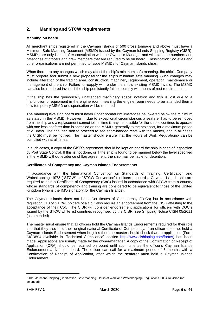## **2. Manning and STCW requirements**

#### **Manning on board**

All merchant ships registered in the Cayman Islands of 500 gross tonnage and above must have a Minimum Safe Manning Document (MSMD) issued by the Cayman Islands Shipping Registry (CISR). MSMDs are only issued after consultation with the Owner or Manager and will state the numbers and categories of officers and crew members that are required to be on board. Classification Societies and other organisations are not permitted to issue MSMDs for Cayman Islands ships.

When there are any changes which may affect the ship's minimum safe manning, the ship's Company must prepare and submit a new proposal for the ship's minimum safe manning. Such changes may include alteration of the trading area, construction, machinery, equipment, operation, maintenance or management of the ship. Failure to reapply will render the ship's existing MSMD invalid. The MSMD can also be rendered invalid if the ship persistently fails to comply with hours of rest requirements.

If the ship has the 'periodically unattended machinery space' notation and this is lost due to a malfunction of equipment in the engine room meaning the engine room needs to be attended then a new temporary MSMD or dispensation will be required.

The manning levels on board must never under normal circumstances be lowered below the minimum as stated in the MSMD. However, if due to exceptional circumstances a seafarer has to be removed from the ship and a replacement cannot join in time it may be possible for the ship to continue to operate with one less seafarer than is specified on the MSMD, generally to the next port, for a maximum period of 21 days. The final decision to proceed to sea short-handed rests with the master, and in all cases the CISR must be notified. The master should ensure that the Hours of Work Regulations<sup>1</sup> can be complied with at all times.

In such cases, a copy of the CISR's agreement should be kept on board the ship in case of inspection by Port State Control. If this is not done, or if the ship is found to be manned below the level specified in the MSMD without evidence of flag agreement, the ship may be liable for detention.

#### **Certificates of Competency and Cayman Islands Endorsements**

In accordance with the International Convention on Standards of Training, Certification and Watchkeeping, 1978 ("STCW" or "STCW Convention"), officers onboard a Cayman Islands ship are required to hold a Certificate of Competency (CoC) issued in accordance with STCW from a country whose standards of competency and training are considered to be equivalent to those of the United Kingdom (who is the IMO signatory for the Cayman Islands).

The Cayman Islands does not issue Certificates of Competency (CoCs) but in accordance with regulation I/10 of STCW, holders of a CoC also require an endorsement from the CISR attesting to the acceptance of their CoC. The CISR will consider endorsement applications for officers with COC's issued by the STCW white list countries recognised by the CISR, see Shipping Notice CISN 05/2011 (as amended).

The master must ensure that all officers hold the Cayman Islands Endorsements required for their role and that they also hold their original national Certificate of Competency. If an officer does not hold a Cayman Islands Endorsement when he joins then the master should check that an application (Form CISR504 available in "Technical Compliance" section [http://www.cishipping.com/forms\)](http://www.cishipping.com/forms) has been made. Applications are usually made by the owner/manager. A copy of the Confirmation of Receipt of Application (CRA) should be retained on board until such time as the officer's Cayman Islands Endorsement arrives on board. The officer can sail for a maximum period of 3 months with a Confirmation of Receipt of Application, after which the seafarer must hold a Cayman Islands Endorsement**.**

 $1$  The Merchant Shipping (Certification, Safe Manning, Hours of Work and Watchkeeping) Regulations, 2004 Revision (as amended)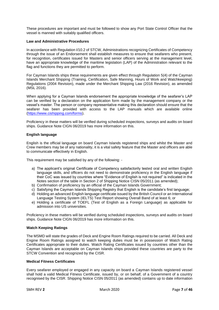These procedures are important and must be followed to show any Port State Control Officer that the vessel is manned with suitably qualified officers.

#### **Law and Administrative Procedures**

In accordance with Regulation I/10.2 of STCW, Administrations recognizing Certificates of Competency through the issue of an Endorsement shall establish measures to ensure that seafarers who present, for recognition, certificates issued for Masters and senior officers serving at the management level, have an appropriate knowledge of the maritime legislation (LAP) of the Administration relevant to the flag and functions they are permitted to perform.

For Cayman Islands ships these requirements are given effect through Regulation 5(4) of the Cayman Islands Merchant Shipping (Training, Certification, Safe Manning, Hours of Work and Watchkeeping) Regulations (2004 Revision), made under the Merchant Shipping Law (2016 Revision), as amended (MSL 2016).

When applying for a Cayman Islands endorsement the appropriate knowledge of the seafarer's LAP can be verified by a declaration on the application form made by the management company or the vessel's master. The person or company representative making this declaration should ensure that the seafarer has been provided with access to the LAP manuals which are available online [\(https://www.cishipping.com/forms\)](https://www.cishipping.com/forms).

Proficiency in these matters will be verified during scheduled inspections, surveys and audits on board ships. Guidance Note CIGN 06/2019 has more information on this.

#### **English language**

English is the official language on board Cayman Islands registered ships and whilst the Master and Crew members may be of any nationality, it is a vital safety feature that the Master and officers are able to communicate effectively in English.

This requirement may be satisfied by any of the following: -

- a) The applicant's original Certificate of Competency satisfactorily tested oral and written English language skills, and officers do not need to demonstrate proficiency in the English language if their CoC was issued by countries where "Evidence of English is not required" is indicated in the Notes section of the table in Section 2 of Shipping Notice CISN 05/2011 (as amended);
- b) Confirmation of proficiency by an official of the Cayman Islands Government;
- c) Satisfying the Cayman Islands Shipping Registry that English is the candidate's first language;
- d) Holding an advanced English language certificate issued by the British Council or an International Language Testing System (IELTS) Test Report showing Overall Band of at least 6; or
- e) Holding a certificate of TOEFL (Test of English as a Foreign Language) as applicable for admission into US universities.

Proficiency in these matters will be verified during scheduled inspections, surveys and audits on board ships. Guidance Note CIGN 06/2019 has more information on this.

#### **Watch Keeping Ratings**

The MSMD will state the grades of Deck and Engine Room Ratings required to be carried. All Deck and Engine Room Ratings assigned to watch keeping duties must be in possession of Watch Rating Certificates appropriate to their duties. Watch Rating Certificates issued by countries other than the Cayman Islands are acceptable on Cayman Islands ships provided these countries are party to the STCW Convention and recognized by the CISR.

#### **Medical Fitness Certificates**

Every seafarer employed or engaged in any capacity on board a Cayman Islands registered vessel shall hold a valid Medical Fitness Certificate, issued by, or on behalf, of a Government of a country recognised by the CISR. Shipping Notice CISN 05/2011 (as amended) contains up to date information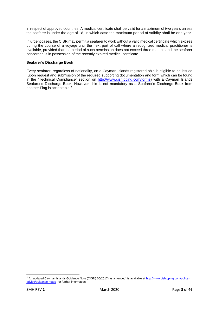in respect of approved countries. A medical certificate shall be valid for a maximum of two years unless the seafarer is under the age of 18, in which case the maximum period of validity shall be one year.

In urgent cases, the CISR may permit a seafarer to work without a valid medical certificate which expires during the course of a voyage until the next port of call where a recognized medical practitioner is available, provided that the period of such permission does not exceed three months and the seafarer concerned is in possession of the recently expired medical certificate.

#### **Seafarer's Discharge Book**

Every seafarer, regardless of nationality, on a Cayman Islands registered ship is eligible to be issued (upon request and submission of the required supporting documentation and form which can be found in the "Technical Compliance" section on [http://www.cishipping.com/forms\)](http://www.cishipping.com/forms) with a Cayman Islands Seafarer's Discharge Book. However, this is not mandatory as a Seafarer's Discharge Book from another Flag is acceptable. 2

<sup>2</sup> An updated Cayman Islands Guidance Note (CIGN) 06/2017 (as amended) is available at [http://www.cishipping.com/policy](http://www.cishipping.com/policy-advice/guidance-notes)[advice/guidance-notes](http://www.cishipping.com/policy-advice/guidance-notes) for further information.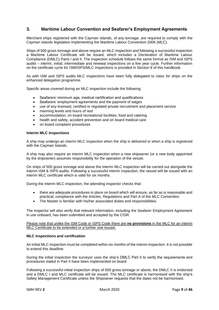## **3. Maritime Labour Convention and Seafarer's Employment Agreements**

Merchant ships registered with the Cayman Islands, of any tonnage, are required to comply with the Cayman Islands legislation implementing the Maritime Labour Convention 2006 (MLC).

Ships of 500 gross tonnage and above require an MLC inspection and following a successful inspection a Maritime Labour Certificate will be issued, which includes a Declaration of Maritime Labour Compliance (DMLC) Parts I and II. The inspection schedule follows the same format as ISM and ISPS audits – interim, initial, intermediate and renewal inspections on a five year cycle. Further information on the certificate cycle for ISM/ISPS/MLC inspections is provided in Section 8 of this handbook.

As with ISM and ISPS audits MLC inspections have been fully delegated to class for ships on the enhanced delegation programme.

Specific areas covered during an MLC inspection include the following:

- Seafarers' minimum age, medical certification and qualifications
- Seafarers' employment agreements and the payment of wages
- use of any licensed, certified or regulated private recruitment and placement service
- manning levels and hours of rest
- accommodation, on board recreational facilities, food and catering
- health and safety, accident prevention and on board medical care
- on board complaint procedures

#### **Interim MLC Inspections**

A ship may undergo an interim MLC inspection when the ship is delivered or when a ship is registered with the Cayman Islands.

A ship may also require an interim MLC inspection when a new shipowner (or a new body appointed by the shipowner) assumes responsibility for the operation of the vessel.

On ships of 500 gross tonnage and above the interim MLC inspection will be carried out alongside the interim ISM & ISPS audits. Following a successful interim inspection, the vessel will be issued with an interim MLC certificate which is valid for six months.

During the interim MLC inspection, the attending inspector checks that:

- there are adequate procedures in place on board which will ensure, as far as is reasonable and practical, compliance with the Articles, Regulations and Part A of the MLC Convention
- The Master is familiar with his/her associated duties and responsibilities.

The inspector will also verify that relevant information, including the Seafarer Employment Agreement in use onboard, has been submitted and accepted by the CISR.

Please note that unlike the ISM Code or ISPS Code there are **no provisions** in the MLC for an interim MLC Certificate to be extended or a further one issued.

#### **MLC Inspections and certification**

An initial MLC inspection must be completed within six months of the interim inspection. It is not possible to extend this deadline.

During the initial inspection the surveyor uses the ship's DMLC Part II to verify the requirements and procedures stated in Part II have been implemented on board.

Following a successful initial inspection ships of 500 gross tonnage or above, the DMLC II is endorsed and a DMLC I and MLC certificate will be issued. The MLC certificate is harmonised with the ship's Safety Management Certificate unless the Shipowner requests that the dates not be harmonised.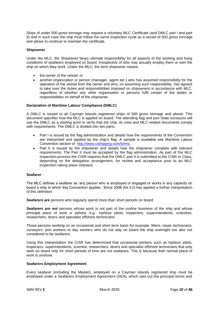Ships of under 500 gross tonnage may request a voluntary MLC Certificate (and DMLC part I and part II) and in such case the ship must follow the same inspection cycle as a vessel of 500 gross tonnage and above to continue to maintain the certificate.

#### **Shipowner**

Under the MLC, the Shipowner bears ultimate responsibility for all aspects of the working and living conditions of seafarers employed on board, irrespective of who may actually employ them or own the ship on which they work. Under the MLC, the term shipowner means:

- the owner of the vessel; or
- another organization or person (manager, agent etc.) who has assumed responsibility for the operation of the vessel from the owner and who, on assuming such responsibility, has agreed to take over the duties and responsibilities imposed on shipowners in accordance with MLC, regardless of whether any other organisation or persons fulfil certain of the duties or responsibilities on behalf of the shipowner.

#### **Declaration of Maritime Labour Compliance (DMLC)**

A DMLC is issued to all Cayman Islands registered ships of 500 gross tonnage and above. This document specifies how the MLC is applied on board. The attending flag and port State surveyors will use the DMLC as a starting point to verify that the ship, its crew and MLC-related documents comply with requirements. The DMLC is divided into two parts:

- Part I is issued by the flag administration and details how the requirements of the Convention are interpreted and applied by the ship's flag. A sample is available see Maritime Labour Convention section of:<http://www.cishipping.com/forms>
- Part II is issued by the shipowner and details how the shipowner complies with relevant requirements. The Part II must be accepted by the flag administration. As part of the MLC inspection process the CISR requires that the DMLC part II is submitted to the CISR or Class, depending on the delegation arrangement, for review and acceptance prior to an MLC inspection taking place onboard.

#### **Seafarer**

The MLC defines a seafarer as 'any person who is employed or engaged or works in any capacity on board a ship to which this Convention applies.' Since 2006 the ILO has applied a further interpretation of this definition:

*Seafarers are* persons who regularly spend more than short periods on board.

**Seafarers are not** persons whose work is not part of the routine business of the ship and whose principal place of work is ashore, e.g.: harbour pilots, inspectors, superintendents, scientists, researchers, divers and specialist offshore technicians.

Those persons working on an occasional and short-term basis for example, fitters, repair technicians, surveyors, port workers or day workers who do not stay on board the ship overnight are also not considered to be seafarers.

Using this interpretation the CISR has determined that occasional workers such as harbour pilots, inspectors, superintendents, scientist, researchers, divers and specialist offshore technicians that only work on board only for short periods of time are not seafarers. This is because their normal place of work is onshore.

#### **Seafarers Employment Agreement**

Every seafarer (including the Master), employed on a Cayman Islands registered ship must be employed under a Seafarers Employment Agreement (SEA), which sets out the principal terms and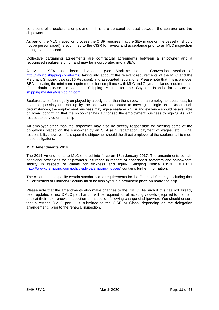conditions of a seafarer's employment. This is a personal contract between the seafarer and the shipowner.

As part of the MLC inspection process the CISR requires that the SEA in use on the vessel (it should not be personalised) is submitted to the CISR for review and acceptance prior to an MLC inspection taking place onboard.

Collective bargaining agreements are contractual agreements between a shipowner and a recognized seafarer's union and may be incorporated into a SEA.

A Model SEA has been developed (see Maritime Labour Convention section of [http://www.cishipping.com/forms\)](http://www.cishipping.com/forms) taking into account the relevant requirements of the MLC and the Merchant Shipping Law (2016 Revision), and associated regulations. Please note that this is a model SEA indicating the minimum requirements for compliance with MLC and Cayman Islands requirements. If in doubt please contact the Shipping Master for the Cayman Islands for advice at [shipping.master@cishipping.com.](mailto:shipping.master@cishipping.com)

Seafarers are often legally employed by a body other than the shipowner, an employment business, for example, possibly one set up by the shipowner dedicated to crewing a single ship. Under such circumstances, the employment business may sign a seafarer's SEA and evidence should be available on board confirming that the shipowner has authorised the employment business to sign SEAs with respect to service on the ship.

An employer other than the shipowner may also be directly responsible for meeting some of the obligations placed on the shipowner by an SEA (e.g. repatriation, payment of wages, etc.). Final responsibility, however, falls upon the shipowner should the direct employer of the seafarer fail to meet these obligations.

#### **MLC Amendments 2014**

The 2014 Amendments to MLC entered into force on 18th January 2017. The amendments contain additional provisions for shipowner's insurance in respect of abandoned seafarers and shipowners' liability in respect of claims for sickness and injury. Shipping Notice CISN 01/2017 [\(http://www.cishipping.com/policy-advice/shipping-notices\)](http://www.cishipping.com/policy-advice/shipping-notices) contains further information.

The Amendments specify certain standards and requirements for the Financial Security, including that a Certificate/s of Financial Security must be displayed in a prominent place on board the ship.

Please note that the amendments also make changes to the DMLC. As such if this has not already been updated a new DMLC part I and II will be required for all existing vessels (required to maintain one) at their next renewal inspection or inspection following change of shipowner. You should ensure that a revised DMLC part II is submitted to the CISR or Class, depending on the delegation arrangement, prior to the renewal inspection.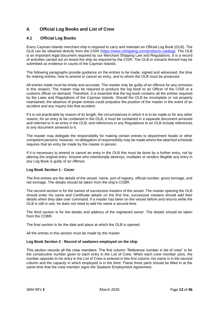## **4. Official Log Books and List of Crew**

#### **4.1 Official Log Books**

Every Cayman Islands merchant ship is required to carry and maintain an Official Log Book (OLB). The OLB can be obtained directly from the CISR [\(https://www.cishipping.com/products-catalog\)](https://www.cishipping.com/products-catalog). The OLB is an important legal document required by our Merchant Shipping Law and Regulations. It is a record of activities carried out on board the ship as required by the CISR. The OLB or extracts thereof may be submitted as evidence in courts of the Cayman Islands.

The following paragraphs provide guidance on the entries to be made, signed and witnessed, the time for making entries, how to amend or cancel an entry, and to whom the OLB must be produced.

All entries made must be timely and accurate. The master may be guilty of an offence for any omission in this respect. The master may be required to produce the log book to an Officer of the CISR or a customs officer on demand. Therefore, it is essential that the log book contains all the entries required by the Laws and Regulations of the Cayman Islands. Should the OLB be incomplete or not properly maintained, the absence of proper entries could prejudice the position of the master in the event of an accident and any inquiry into that accident.

If it is not practicable by reason of its length, the circumstances in which it is to be made or for any other reason, for an entry to be contained in the OLB, it must be contained in a separate document annexed and referred to in an entry in the OLB; and references in any Regulations to an OLB include references to any document annexed to it.

The master may delegate the responsibility for making certain entries to department heads or other competent persons; however, no delegation of responsibility may be made where the attached schedule requires that an entry be made by the master in person.

If it is necessary to amend or cancel an entry in the OLB this must be done by a further entry, not by altering the original entry. Anyone who intentionally destroys, mutilates or renders illegible any entry in any Log Book is guilty of an offence.

#### **Log Book Section 1 - Cover**

The first entries are the details of the vessel, name, port of registry, official number, gross tonnage, and net tonnage. The details should be taken from the ship's COBR.

The second section is for the names of successive masters of the vessel. The master opening the OLB should enter his name and Certificate details on the first line, successive masters should add their details when they take over command. If a master has been on the vessel before and returns while the OLB is still in use, he does not need to add his name a second time.

The third section is for the details and address of the registered owner. The details should be taken from the COBR.

The final section is for the date and place at which the OLB is opened.

All the entries in this section must be made by the master.

#### **Log Book Section 2 - Record of seafarers employed on the ship**

This section records all the crew members. The first column "Reference number in list of crew" is for the consecutive number given to each entry in the List of Crew. When each crew member joins, the number opposite to his entry in the List of Crew is entered in this first column, his name is in the second column and the capacity in which employed is in the third. These three parts should be filled in at the same time that the crew member signs the Seafarer Employment Agreement.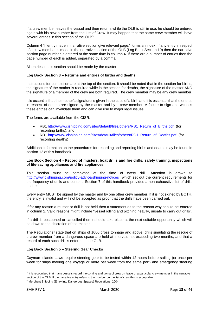If a crew member leaves the vessel and then returns while the OLB is still in use, he should be entered again with his new number from the List of Crew. It may happen that the same crew member will have several entries in this section of the OLB<sup>3</sup>.

Column 4 "If entry made in narrative section give relevant page." forms an index. If any entry in respect of a crew member is made in the narrative section of the OLB (Log Book Section 10) then the narrative section page number is entered at the same time in column 4. If there are a number of entries then the page number of each is added, separated by a comma.

All entries in this section should be made by the master.

#### <span id="page-12-0"></span>**Log Book Section 3 – Returns and entries of births and deaths**

Instructions for completion are at the top of the section. It should be noted that in the section for births, the signature of the mother is required while in the section for deaths, the signature of the master AND the signature of a member of the crew are both required. The crew member may be any crew member.

It is essential that the mother's signature is given in the case of a birth and it is essential that the entries in respect of deaths are signed by the master and by a crew member. A failure to sign and witness these entries can invalidate them and can give rise to major legal issues.

The forms are available from the CISR:

- RB1 [http://www.cishipping.com/sites/default/files/others/RB1\\_Return\\_of\\_Births.pdf](http://www.cishipping.com/sites/default/files/others/RB1_Return_of_Births.pdf) (for recording births); and
- RD1 [http://www.cishipping.com/sites/default/files/others/RD1\\_Return\\_of\\_Deaths.pdf](http://www.cishipping.com/sites/default/files/others/RD1_Return_of_Deaths.pdf) (for recording deaths)

Additional information on the procedures for recording and reporting births and deaths may be found in section 12 of this handbook.

#### **Log Book Section 4 - Record of musters, boat drills and fire drills, safety training, inspections of life-saving appliances and fire appliances**

This section must be completed at the time of every drill. Attention is drawn to <http://www.cishipping.com/policy-advice/shipping-notices> which set out the current requirements for the frequency of drills and content. Section 7 of this handbook provides a non-exhaustive list of drills and tests.

Every entry MUST be signed by the master and by one other crew member. If it is not signed by BOTH, the entry is invalid and will not be accepted as proof that the drills have been carried out.

If for any reason a muster or drill is not held then a statement as to the reason why should be entered in column 2. Valid reasons might include "vessel rolling and pitching heavily, unsafe to carry out drills".

If a drill is postponed or cancelled then it should take place at the next suitable opportunity which will be down to the discretion of the master.

The Regulations<sup>4</sup> state that on ships of 1000 gross tonnage and above, drills simulating the rescue of a crew member from a dangerous space are held at intervals not exceeding two months, and that a record of each such drill is entered in the OLB.

#### **Log Book Section 5 – Steering Gear Checks**

Cayman Islands Laws require steering gear to be tested within 12 hours before sailing (or once per week for ships making one voyage or more per week from the same port) and emergency steering

<sup>&</sup>lt;sup>3</sup> It is recognized that many vessels record the coming and going of crew on leave of a particular crew member in the narrative section of the OLB. If the narrative entry refers to the number on the list of crew this is acceptable.

<sup>4</sup> Merchant Shipping (Entry into Dangerous Spaces) Regulations, 2004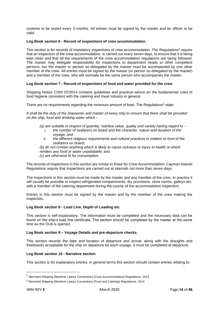systems to be tested every 3 months. All entries must be signed by the master and an officer to be valid.

#### **Log Book section 6 - Record of inspections of crew accommodation.**

This section is for records of mandatory inspections of crew accommodation. The Regulations<sup>5</sup> require that an inspection of the crew accommodation, is carried out every seven days, to ensure that it is being kept clean and that all the requirements of the crew accommodation regulations are being followed. The master may delegate responsibility for inspections to department heads or other competent persons, but the master or person so delegated by the master must be accompanied by one other member of the crew. All entries must be signed by the master (or person so delegated by the master) and a member of the crew, who will normally be the same person who accompanies the master.

#### **Log Book section 7 - Record of inspections of food and water provided for the crew**

Shipping Notice CISN 07/2014 contains guidelines and practical advice on the fundamental rules of food hygiene consistent with the catering and meat industry in general.

There are no requirements regarding the minimum amount of food. The Regulations $6$  state:

*It shall be the duty of the shipowner and master of every ship to ensure that there shall be provided on the ship, food and drinking water which –*

- *(a) are suitable in respect of quantity, nutritive value, quality and variety having regard to* 
	- *i. the number of seafarers on board and the character, nature and duration of the voyage; and*
	- *ii. the different religious requirements and cultural practices in relation to food of the seafarers on board;*

#### *(b) do not contain anything which is likely to cause sickness or injury to health or which renders any food or water unpalatable; and (c) are otherwise fit for consumption.*

The records of inspections in this section are similar to those for Crew Accommodation. Cayman Islands Regulations require that inspections are carried out at intervals not more than seven days.

The inspections in this section must be made by the master and any member of the crew. In practice it will usually be possible to inspect refrigerated compartments, dry provisions, store rooms, galleys etc. with a member of the catering department during the course of the accommodation inspection.

Entries in this section must be signed by the master and by the member of the crew making the inspection.

#### **Log Book section 8 - Load Line, Depth of Loading etc**

This section is self-explanatory. The information must be completed and the necessary data can be found on the ship's load line certificate. The section should be completed by the master at the same time as the OLB is opened.

#### **Log Book section 9 – Voyage Details and pre-departure checks.**

This section records the date and location of departure and arrival, along with the draughts and freeboards acceptable for the ship on departure for each voyage. It must be completed at departure.

#### **Log Book section 10 - Narrative section**

This section is for explanatory entries. In general terms this section should contain entries relating to:

<sup>5</sup> Merchant Shipping (Maritime Labour Convention) (Crew Accommodation) Regulations, 2014

<sup>6</sup> Merchant Shipping (Maritime Labour Convention) (Food and Catering) Regulations, 2014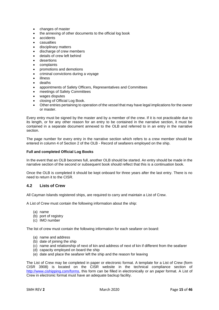- changes of master
- the annexing of other documents to the official log book
- accidents
- **casualties**
- disciplinary matters
- discharge of crew members
- details of crew left behind
- desertions
- complaints
- promotions and demotions
- criminal convictions during a voyage
- **illness**
- deaths
- appointments of Safety Officers, Representatives and Committees
- meetings of Safety Committees
- wages disputes
- closing of Official Log Book.
- Other entries pertaining to operation of the vessel that may have legal implications for the owner or master.

Every entry must be signed by the master and by a member of the crew. If it is not practicable due to its length, or for any other reason for an entry to be contained in the narrative section, it must be contained in a separate document annexed to the OLB and referred to in an entry in the narrative section.

The page number for every entry in the narrative section which refers to a crew member should be entered in column 4 of Section 2 of the OLB - Record of seafarers employed on the ship.

#### **Full and completed Official Log Books**

In the event that an OLB becomes full, another OLB should be started. An entry should be made in the narrative section of the second or subsequent book should reflect that this is a continuation book.

Once the OLB is completed it should be kept onboard for three years after the last entry. There is no need to return it to the CISR.

## **4.2 Lists of Crew**

All Cayman Islands registered ships, are required to carry and maintain a List of Crew.

A List of Crew must contain the following information about the ship:

- (a) name
- (b) port of registry
- (c) IMO number

The list of crew must contain the following information for each seafarer on board:

- (a) name and address
- (b) date of joining the ship
- (c) name and relationship of next of kin and address of next of kin if different from the seafarer
- (d) capacity employed on board the ship
- (e) date and place the seafarer left the ship and the reason for leaving

The List of Crew may be completed in paper or electronic format. A template for a List of Crew (form CISR 3908) is located on the CISR website in the technical compliance section of [http://www.cishipping.com/forms,](http://www.cishipping.com/forms) this form can be filled in electronically or an paper format. A List of Crew in electronic format must have an adequate backup facility.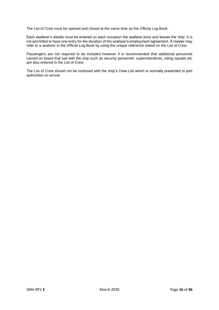The List of Crew must be opened and closed at the same time as the Official Log Book.

Each seafarer's details must be entered on each occasion the seafarer joins and leaves the ship. It is not permitted to have one entry for the duration of the seafarer's employment agreement. A master may refer to a seafarer in the Official Log Book by using the unique reference stated on the List of Crew.

Passengers are not required to be included however it is recommended that additional personnel carried on board that sail with the ship such as security personnel, superintendents, riding squads etc are also entered in the List of Crew.

The List of Crew should not be confused with the ship's Crew List which is normally presented to port authorities on arrival.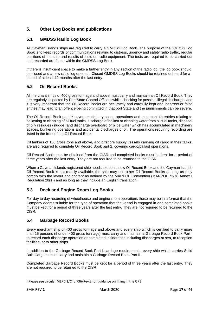## **5. Other Log Books and publications**

## **5.1 GMDSS Radio Log Book**

All Cayman Islands ships are required to carry a GMDSS Log Book. The purpose of the GMDSS Log Book is to keep records of communications relating to distress, urgency and safety radio traffic, regular positions of the ship and results of tests on radio equipment. The tests are required to be carried out and recorded are found within the GMDSS Log Book.

If there is insufficient space to make a further entry in any section of the radio log, the log book should be closed and a new radio log opened. Closed GMDSS Log Books should be retained onboard for a period of at least 12 months after the last entry.

## **5.2 Oil Record Books**

All merchant ships of 400 gross tonnage and above must carry and maintain an Oil Record Book. They are regularly inspected by Port State Control Officers whilst checking for possible illegal discharges and it is very important that the Oil Record Books are accurately and carefully kept and incorrect or false entries may lead to an offence being committed in that port State and the punishments can be severe.

The Oil Record Book part 1<sup>7</sup> covers machinery space operations and must contain entries relating to ballasting or cleaning of oil fuel tanks, discharge of ballast or cleaning water from oil fuel tanks, disposal of oily residues (sludge) and discharge overboard of bilge water which has accumulated in machinery spaces, bunkering operations and accidental discharges of oil. The operations requiring recording are listed in the front of the Oil Record Book.

Oil tankers of 150 gross tons and above, and offshore supply vessels carrying oil cargo in their tanks, are also required to complete Oil Record Book part 2, covering cargo/ballast operations.

Oil Record Books can be obtained from the CISR and completed books must be kept for a period of three years after the last entry. They are not required to be returned to the CISR.

When a Cayman Islands registered ship needs to open a new Oil Record Book and the Cayman Islands Oil Record Book is not readily available, the ship may use other Oil Record Books as long as they comply with the layout and content as defined by the MARPOL Convention (MARPOL 73/78 Annex I Regulation 20(1)) and as long as they include an English translation.

## **5.3 Deck and Engine Room Log Books**

For day to day recording of wheelhouse and engine-room operations these may be in a format that the Company deems suitable for the type of operation that the vessel is engaged in and completed books must be kept for a period of three years after the last entry. They are not required to be returned to the CISR.

## **5.4 Garbage Record Books**

Every merchant ship of 400 gross tonnage and above and every ship which is certified to carry more than 15 persons (if under 400 gross tonnage) must carry and maintain a Garbage Record Book Part I to record each discharge operation or completed incineration including discharges at sea, to reception facilities, or to other ships.

In addition to the Garbage Record Book Part I carriage requirements, every ship which carries Solid Bulk Cargoes must carry and maintain a Garbage Record Book Part II.

Completed Garbage Record Books must be kept for a period of three years after the last entry. They are not required to be returned to the CISR.

<sup>7</sup> Please see circular MEPC.1/Circ.736/Rev.2 for guidance on filling in the ORB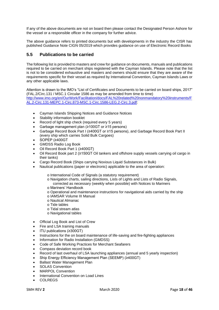If any of the above documents are not on board then please contact the Designated Person Ashore for the vessel or a responsible officer in the company for further advice.

The above guidance refers to printed documents but with developments in the industry the CISR has published Guidance Note CIGN 05/2019 which provides guidance on use of Electronic Record Books

## **5.5 Publications to be carried**

The following list is provided to masters and crew for guidance on documents, manuals and publications required to be carried on merchant ships registered with the Cayman Islands. Please note that the list is not to be considered exhaustive and masters and owners should ensure that they are aware of the requirements specific for their vessel as required by International Convention, Cayman Islands Laws or any other applicable laws.

Attention is drawn to the IMO's "List of Certificates and Documents to be carried on board ships, 2017" (FAL.2/Circ.131 / MSC.1 Circular 1586 as may be amended from time to time) [http://www.imo.org/en/OurWork/Facilitation/docs/FAL%20related%20nonmandatory%20instruments/F](http://www.imo.org/en/OurWork/Facilitation/docs/FAL%20related%20nonmandatory%20instruments/FAL.2-Circ.131-MEPC.1-Circ.873-MSC.1-Circ.1586-LEG.2-Circ.3.pdf) [AL.2-Circ.131-MEPC.1-Circ.873-MSC.1-Circ.1586-LEG.2-Circ.3.pdf:](http://www.imo.org/en/OurWork/Facilitation/docs/FAL%20related%20nonmandatory%20instruments/FAL.2-Circ.131-MEPC.1-Circ.873-MSC.1-Circ.1586-LEG.2-Circ.3.pdf)

- Cayman Islands Shipping Notices and Guidance Notices
- Stability information booklet
- Record of light ship check (required every 5 years)
- Garbage management plan (≥100GT or ≥15 persons)
- Garbage Record Book Part I (≥400GT or ≥15 persons), and Garbage Record Book Part II (every ship which carries Solid Bulk Cargoes)
- SOPEP (≥400GT
- GMDSS Radio Log Book
- Oil Record Book Part 1 (≥400GT)
- Oil Record Book part 2 (≥150GT Oil tankers and offshore supply vessels carrying oil cargo in their tanks)
- Cargo Record Book (Ships carrying Noxious Liquid Substances in Bulk)
- Nautical publications (paper or electronic) applicable to the area of operation:

o International Code of Signals (a statutory requirement)

- o Navigation charts, sailing directions, Lists of Lights and Lists of Radio Signals, corrected as necessary (weekly when possible) with Notices to Mariners
- o Mariners' Handbook
- o Operational and maintenance instructions for navigational aids carried by the ship
- o IAMSAR Volume III Manual
- o Nautical Almanac
- o Tide tables
- o Tidal stream atlas
- o Navigational tables
- Official Log Book and List of Crew
- Fire and LSA training manuals
- ITU publications (≥300GT)
- Instructions for the on board maintenance of life-saving and fire-fighting appliances
- Information for Radio Installation (GMDSS)
- Code of Safe Working Practices for Merchant Seafarers
- Compass deviation record book
- Record of last overhaul of LSA launching appliances (annual and 5 yearly inspection)
- Ship Energy Efficiency Management Plan (SEEMP) (≥400GT)
- Ballast Water Management Plan
- SOLAS Convention
- MARPOL Convention
- International Convention on Load Lines
- **COLREGS**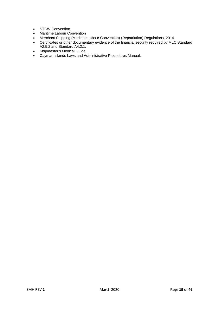- STCW Convention
- Maritime Labour Convention
- Merchant Shipping (Maritime Labour Convention) (Repatriation) Regulations, 2014
- Certificates or other documentary evidence of the financial security required by MLC Standard A2.5.2 and Standard A4.2.1.
- Shipmaster's Medical Guide
- Cayman Islands Laws and Administrative Procedures Manual.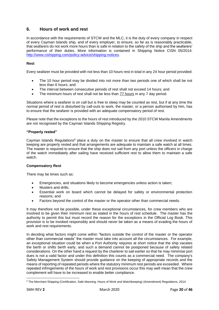## **6. Hours of work and rest**

In accordance with the requirements of STCW and the MLC, it is the duty of every company in respect of every Cayman Islands ship, and of every employer, to ensure, so far as is reasonably practicable, that seafarers do not work more hours than is safe in relation to the safety of the ship and the seafarers' performance of their duties. More information is contained in Shipping Notice CISN 05/2014: [http://www.cishipping.com/policy-advice/shipping-notices.](http://www.cishipping.com/policy-advice/shipping-notices)

#### **Rest**

Every seafarer must be provided with not less than 10 hours rest in total in any 24 hour period provided:

- The 10 hour period may be divided into not more than two periods one of which shall be not less than 6 hours; and
- The interval between consecutive periods of rest shall not exceed 14 hours; and
- The minimum hours of rest shall not be less than 77 hours in any 7 day period.

Situations where a seafarer is on call but is free to sleep may be counted as rest, but if at any time the normal period of rest is disturbed by call-outs to work, the master, or a person authorised by him, has to ensure that the seafarer is provided with an adequate compensatory period of rest.

Please note that the exceptions to the hours of rest introduced by the 2010 STCW Manila Amendments are not recognised by the Cayman Islands Shipping Registry.

#### **"Properly rested"**

Cayman Islands Regulations<sup>8</sup> place a duty on the master to ensure that all crew involved in watch keeping are properly rested and that arrangements are adequate to maintain a safe watch at all times. The master is required to ensure that the ship does not sail from any port unless the officers in charge of the watch immediately after sailing have received sufficient rest to allow them to maintain a safe watch.

#### **Compensatory Rest**

There may be times such as:

- Emergencies, and situations likely to become emergencies unless action is taken;
- Musters and drills;
- Essential work on board which cannot be delayed for safety or environmental protection reasons; and
- Factors beyond the control of the master or the operator other than commercial needs.

It may therefore not be possible, under these exceptional circumstances, for crew members who are involved to be given their minimum rest as stated in the hours of rest schedule. The master has the authority to permit this but must record the reason for the exceptions in the Official Log Book. This provision is to be invoked responsibly and should never be taken as a means of evading the hours of work and rest requirements.

In deciding what factors might come within "factors outside the control of the master or the operator other than commercial needs" the master must take into account all the circumstances. For example, an exceptional situation could be when a Port Authority requires at short notice that the ship vacates the berth or shifts berth early, and such a demand cannot be postponed because of safety related considerations. On the other hand a request by the charterer to sail earlier so that he may minimise port dues is not a valid factor and under this definition this counts as a commercial need. The company's Safety Management System should provide guidance on the keeping of appropriate records and the means of reporting of repeated periods where the statutory minimum rest periods are exceeded. Where repeated infringements of the hours of work and rest provisions occur this may well mean that the crew complement will have to be increased to enable better compliance.

<sup>&</sup>lt;sup>8</sup> The Merchant Shipping (Certification, Safe Manning, Hours of Work and Watchkeeping) (Amendment) Regulations, 2014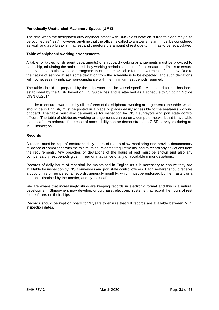#### **Periodically Unattended Machinery Spaces (UMS)**

The time when the designated duty engineer officer with UMS class notation is free to sleep may also be counted as "rest". However, anytime that the officer is called to answer an alarm must be considered as work and as a break in that rest and therefore the amount of rest due to him has to be recalculated.

#### **Table of shipboard working arrangements**

A table (or tables for different departments) of shipboard working arrangements must be provided to each ship, tabulating the anticipated daily working periods scheduled for all seafarers. This is to ensure that expected routine working arrangements are made available for the awareness of the crew. Due to the nature of service at sea some deviation from the schedule is to be expected, and such deviations will not necessarily indicate non-compliance with the minimum rest periods required.

The table should be prepared by the shipowner and be vessel specific. A standard format has been established by the CISR based on ILO Guidelines and is attached as a schedule to Shipping Notice CISN 05/2014.

In order to ensure awareness by all seafarers of the shipboard working arrangements, the table, which should be in English, must be posted in a place or places easily accessible to the seafarers working onboard. The table must also be available for inspection by CISR surveyors and port state control officers. The table of shipboard working arrangements can be on a computer network that is available to all seafarers onboard if the ease of accessibility can be demonstrated to CISR surveyors during an MLC inspection.

#### **Records**

A record must be kept of seafarer's daily hours of rest to allow monitoring and provide documentary evidence of compliance with the minimum hours of rest requirements, and to record any deviations from the requirements. Any breaches or deviations of the hours of rest must be shown and also any compensatory rest periods given in lieu or in advance of any unavoidable minor deviations.

Records of daily hours of rest shall be maintained in English as it is necessary to ensure they are available for inspection by CISR surveyors and port state control officers. Each seafarer should receive a copy of his or her personal records, generally monthly, which must be endorsed by the master, or a person authorised by the master, and by the seafarer.

We are aware that increasingly ships are keeping records in electronic format and this is a natural development. Shipowners may develop, or purchase, electronic systems that record the hours of rest for seafarers on their ships.

Records should be kept on board for 3 years to ensure that full records are available between MLC inspection dates.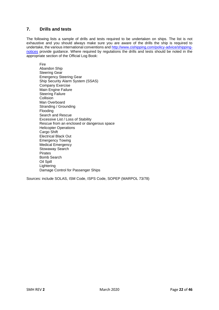## **7. Drills and tests**

The following lists a sample of drills and tests required to be undertaken on ships. The list is not exhaustive and you should always make sure you are aware of the drills the ship is required to undertake, the various international conventions and [http://www.cishipping.com/policy-advice/shipping](http://www.cishipping.com/policy-advice/shipping-notices)[notices](http://www.cishipping.com/policy-advice/shipping-notices) provide guidance. Where required by regulations the drills and tests should be noted in the appropriate section of the Official Log Book:

Fire

Abandon Ship Steering Gear Emergency Steering Gear Ship Security Alarm System (SSAS) Company Exercise Main Engine Failure Steering Failure **Collision** Man Overboard Stranding / Grounding **Flooding** Search and Rescue Excessive List / Loss of Stability Rescue from an enclosed or dangerous space Helicopter Operations Cargo Shift Electrical Black Out Emergency Towing Medical Emergency Stowaway Search Pirates Bomb Search Oil Spill Lightering Damage Control for Passenger Ships

Sources: include SOLAS, ISM Code, ISPS Code, SOPEP (MARPOL 73/78)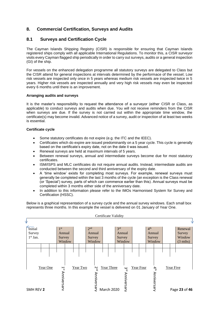## **8. Commercial Certification, Surveys and Audits**

## **8.1 Surveys and Certification Cycle**

The Cayman Islands Shipping Registry (CISR) is responsible for ensuring that Cayman Islands registered ships comply with all applicable International Regulations. To monitor this, a CISR surveyor visits every Cayman flagged ship periodically in order to carry out surveys, audits or a general inspection (GI) of the ship.

For vessels on the enhanced delegation programme all statutory surveys are delegated to Class but the CISR attend for general inspections at intervals determined by the performace of the vessel; Low risk vessels are inspected only once in 5 years whereas medium risk vessels are inspected twice in 5 years. Higher risk vessels are inspected annually and very high risk vessels may even be inspected every 6 months until there is an improvement.

#### **Arranging audits and surveys**

It is the master's responsibility to request the attendance of a surveyor (either CISR or Class, as applicable) to conduct surveys and audits when due. You will not receive reminders from the CISR when surveys are due. If the survey is not carried out within the appropriate time window, the certificate(s) may become invalid. Advanced notice of a survey, audit or inspection of at least two weeks is essential.

#### **Certificate cycle**

- Some statutory certificates do not expire (e.g. the ITC and the IEEC).
- Certificates which do expire are issued predominantly on a 5 year cycle. This cycle is generally based on the certificate's expiry date, not on the date it was issued.
- Renewal surveys are held at maximum intervals of 5 years.
- Between renewal surveys, annual and intermediate surveys become due for most statutory certificates.
- ISM/ISPS and MLC certificates do not require annual audits. Instead, intermediate audits are conducted between the second and third anniversary of the expiry date.
- A 'time window' exists for completing most surveys. For example, renewal surveys must generally be completed within the last 3 months of the cycle (an exception is the Class renewal (or 'Special') survey, parts of which can commence earlier than this). Annual surveys must be completed within 3 months either side of the anniversary date.
- In addition to this information please refer to the IMOs Harmonised System for Survey and Certification (HSSC).

Below is a graphical representation of a survey cycle and the annual survey windows. Each small box represents three months. In this example the vessel is delivered on 01 January of Year One.

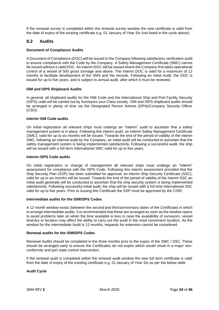If the renewal survey is completed within the renewal survey window the new certificate is valid from the date of expiry of the existing certificate e.g. 01 January of Year Six (not listed in the cycle above).

## **8.2 Audits**

#### **Document of Compliance Audits**

A Document of Compliance (DOC) will be issued to the Company following satisfactory verification audit to ensure compliance with the Code by the Company. A Safety Management Certificate (SMC) cannot be issued without a valid DOC. An interim DOC will be issued where the Company first takes operational control of a vessel of 500 gross tonnage and above. The Interim DOC is valid for a maximum of 12 months to facilitate development of the SMS and the records. Following an initial Audit, the DOC is issued for up to five years, and is subject to annual audit, after which it must be renewed.

#### **ISM and ISPS Shipboard Audits**

In general, all shipboard audits for the ISM Code and the International Ship and Port Facility Security (ISPS) code will be carried out by Surveyors your Class society. ISM and ISPS shipboard audits should be arranged in plenty of time via the Designated Person Ashore (DPA)/Company Security Officer (CSO).

#### **Interim ISM Code audits**

On initial registration all relevant ships must undergo an "interim" audit to ascertain that a safety management system is in place. Following this interim audit, an interim Safety Management Certificate (SMC), valid for up to six months will be issued. Towards the end of the period of validity of the interim SMC, following an internal audit by the Company, an initial audit will be conducted to ascertain that the safety management system is being implemented satisfactorily. Following a successful audit, the ship will be issued with a full term International SMC valid for up to five years.

#### **Interim ISPS Code audits**

On initial registration or change of management all relevant ships must undergo an "interim" assessment for compliance with the ISPS Code. Following this interim assessment provided that the Ship Security Plan (SSP) has been submitted for approval, an interim Ship Security Certificate (SSC), valid for up to six months will be issued. Towards the end of the period of validity of the interim SSC an initial audit generally will be conducted to ascertain that the ship security system is being implemented satisfactorily. Following successful initial audit, the ship will be issued with a full time International SSC valid for up to five years. Prior to issuing this Certificate the SSP must be approved by the CISR.

#### **Intermediate audits for the ISM/ISPS Codes**

A 12 month window exists (between the second and third anniversary dates of the Certificate) in which to arrange intermediate audits. It is recommended that these are arranged as soon as the window opens to avoid problems later on when the time available is less in case the availability of surveyors, vessel itinerary or location may affect the ability to carry out the audit in the most convenient location. As the window for the intermediate Audit is 12 months, requests for extension cannot be considered.

#### **Renewal audits for the ISM/ISPS Codes**

Renewal Audits should be completed in the three months prior to the expiry of the SMC / SSC. These should be arranged early to ensure the Certificates do not expire which would result in a major nonconformity and port state control intervention.

If the renewal audit is completed within the renewal audit window the new full term certificate is valid from the date of expiry of the existing certificate e.g. 01 January of Year Six as per the below table

#### **Audit Cycle**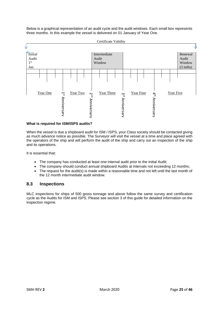Below is a graphical representation of an audit cycle and the audit windows. Each small box represents three months. In this example the vessel is delivered on 01 January of Year One.



#### **What is required for ISM/ISPS audits?**

When the vessel is due a shipboard audit for ISM / ISPS, your Class society should be contacted giving as much advance notice as possible. The Surveyor will visit the vessel at a time and place agreed with the operators of the ship and will perform the audit of the ship and carry out an inspection of the ship and its operations.

It is essential that:

- The company has conducted at least one internal audit prior to the initial Audit;
- The company should conduct annual shipboard Audits at intervals not exceeding 12 months;
- The request for the audit(s) is made within a reasonable time and not left until the last month of the 12 month intermediate audit window.

## **8.3 Inspections**

MLC inspections for ships of 500 gross tonnage and above follow the same survey and certification cycle as the Audits for ISM and ISPS. Please see section 3 of this guide for detailed information on the inspection regime.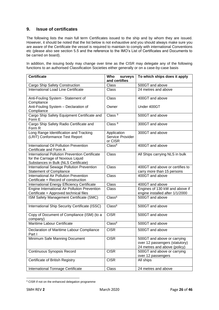## **9. Issue of certificates**

The following lists the main full term Certificates issued to the ship and by whom they are issued. However, it should be noted that the list below is not exhaustive and you should always make sure you are aware of the Certificate the vessel is required to maintain to comply with international Conventions etc (please also see section 5.5 and the reference to the IMO's List of Certificates and Documents to be carried on board).

In addition, the issuing body may change over time as the CISR may delegate any of the following functions to an authorised Classification Societies either generally or on a case-by-case basis

| <b>Certificate</b>                                                                                                                  | Who<br>surveys<br>and certifies            | To which ships does it apply                                                                  |
|-------------------------------------------------------------------------------------------------------------------------------------|--------------------------------------------|-----------------------------------------------------------------------------------------------|
| Cargo Ship Safety Construction                                                                                                      | <b>Class</b>                               | 500GT and above                                                                               |
| <b>International Load Line Certificate</b>                                                                                          | <b>Class</b>                               | 24 metres and above                                                                           |
| Anti-Fouling System - Statement of<br>Compliance                                                                                    | <b>Class</b>                               | 400GT and above                                                                               |
| Anti-Fouling System - Declaration of<br>Compliance                                                                                  | Owner                                      | Under 400GT                                                                                   |
| Cargo Ship Safety Equipment Certificate and<br>Form E                                                                               | Class <sup>9</sup>                         | 500GT and above                                                                               |
| Cargo Ship Safety Radio Certificate and<br>Form R                                                                                   | Class <sup>8</sup>                         | 300GT and above                                                                               |
| Long Range Identification and Tracking<br>(LRIT) Conformance Test Report                                                            | Application<br>Service Provider<br>or CISR | 300GT and above                                                                               |
| International Oil Pollution Prevention<br>Certificate and Form A                                                                    | Class <sup>8</sup>                         | 400GT and above                                                                               |
| <b>International Pollution Prevention Certificate</b><br>for the Carriage of Noxious Liquid<br>Substances in Bulk (NLS Certificate) | Class                                      | All Ships carrying NLS in bulk                                                                |
| International Sewage Pollution Prevention<br><b>Statement of Compliance</b>                                                         | Class                                      | 400GT and above or certifies to<br>carry more than 15 persons                                 |
| <b>International Air Pollution Prevention</b><br>Certificate + Record of construction                                               | Class                                      | 400GT and above                                                                               |
| International Energy Efficiency Certificate                                                                                         | Class                                      | 400GT and above                                                                               |
| Engine International Air Pollution Prevention<br>Certificate + Approved technical files                                             | <b>Class</b>                               | Engines of 130 kW and above if<br>engine installed after 1/1/2000                             |
| ISM Safety Management Certificate (SMC)                                                                                             | Class <sup>8</sup>                         | 500GT and above                                                                               |
| International Ship Security Certificate (ISSC)                                                                                      | Class <sup>8</sup>                         | 500GT and above                                                                               |
| Copy of Document of Compliance (ISM) (to a<br>company)                                                                              | <b>CISR</b>                                | 500GT and above                                                                               |
| Maritime Labour Certificate                                                                                                         | Class <sup>8</sup>                         | 500GT and above                                                                               |
| Declaration of Maritime Labour Compliance<br>Part I                                                                                 | <b>CISR</b>                                | 500GT and above                                                                               |
| Minimum Safe Manning Document                                                                                                       | <b>CISR</b>                                | 500GT and above or carrying<br>over 12 passengers (statutory)<br>24 metres and above (policy) |
| <b>Continuous Synopsis Record</b>                                                                                                   | <b>CISR</b>                                | 500GT and above or carrying<br>over 12 passengers                                             |
| Certificate of British Registry                                                                                                     | <b>CISR</b>                                | All ships                                                                                     |
| International Tonnage Certificate                                                                                                   | Class                                      | 24 metres and above                                                                           |

<sup>&</sup>lt;sup>9</sup> CISR if not on the enhanced delegation programme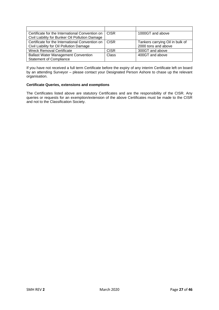| Certificate for the International Convention on | <b>CISR</b> | 1000GT and above                |
|-------------------------------------------------|-------------|---------------------------------|
| Civil Liability for Bunker Oil Pollution Damage |             |                                 |
| Certificate for the International Convention on | <b>CISR</b> | Tankers carrying Oil in bulk of |
| Civil Liability for Oil Pollution Damage        |             | 2000 tons and above             |
| <b>Wreck Removal Certificate</b>                | <b>CISR</b> | 300GT and above                 |
| <b>Ballast Water Management Convention</b>      | Class       | 400GT and above                 |
| <b>Statement of Compliance</b>                  |             |                                 |

If you have not received a full term Certificate before the expiry of any interim Certificate left on board by an attending Surveyor – please contact your Designated Person Ashore to chase up the relevant organisation.

#### **Certificate Queries, extensions and exemptions**

The Certificates listed above are statutory Certificates and are the responsibility of the CISR. Any queries or requests for an exemption/extension of the above Certificates must be made to the CISR and not to the Classification Society.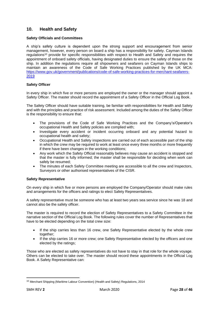## **10. Health and Safety**

#### **Safety Officials and Committees**

A ship's safety culture is dependent upon the strong support and encouragement from senior management, however, every person on board a ship has a responsibility for safety. Cayman Islands regulations<sup>10</sup> provide for specific responsibilities with respect to Health and Safety and requires the appointment of onboard safety officials, having designated duties to ensure the safety of those on the ship. In addition the regulations require all shipowners and seafarers on Cayman Islands ships to maintain an awareness of the Code of Safe Working Practices published by the UK MCA: [https://www.gov.uk/government/publications/code-of-safe-working-practices-for-merchant-seafarers-](https://www.gov.uk/government/publications/code-of-safe-working-practices-for-merchant-seafarers-2019)[2019](https://www.gov.uk/government/publications/code-of-safe-working-practices-for-merchant-seafarers-2019)

#### **Safety Officer**

In every ship in which five or more persons are employed the owner or the manager should appoint a Safety Officer. The master should record the appointment of a Safety Officer in the Official Log Book.

The Safety Officer should have suitable training, be familiar with responsibilities for Health and Safety and with the principles and practice of risk assessment. Included among the duties of the Safety Officer is the responsibility to ensure that:

- The provisions of the Code of Safe Working Practices and the Company's/Operator's occupational Health and Safety policies are complied with;
- Investigate every accident or incident occurring onboard and any potential hazard to occupational health and safety;
- Occupational Health and Safety inspections are carried out of each accessible part of the ship in which the crew may be required to work at least once every three months or more frequently if there have been changes in the working conditions;
- Any work which the Safety Official reasonably believes may cause an accident is stopped and that the master is fully informed; the master shall be responsible for deciding when work can safely be resumed;
- The minutes of each Safety Committee meeting are accessible to all the crew and Inspectors, Surveyors or other authorised representatives of the CISR.

#### **Safety Representative**

On every ship in which five or more persons are employed the Company/Operator should make rules and arrangements for the officers and ratings to elect Safety Representatives.

A safety representative must be someone who has at least two years sea service since he was 18 and cannot also be the safety officer.

The master is required to record the election of Safety Representatives to a Safety Committee in the narrative section of the Official Log Book. The following rules cover the number of Representatives that have to be elected depending on the total crew size:

- If the ship carries less than 16 crew, one Safety Representative elected by the whole crew together:
- If the ship carries 16 or more crew; one Safety Representative elected by the officers and one elected by the ratings;

Those who are elected as safety representatives do not have to stay in that role for the whole voyage. Others can be elected to take over. The master should record these appointments in the Official Log Book. A Safety Representative can:

<sup>&</sup>lt;sup>10</sup> Merchant Shipping (Maritime Labour Convention) (Health and Safety) Regulations, 2014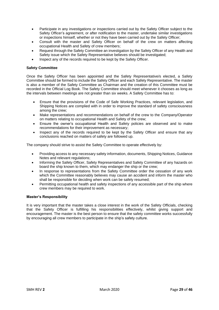- Participate in any investigations or inspections carried out by the Safety Officer subject to the Safety Officer's agreement, or after notification to the master, undertake similar investigations or inspections himself, whether or not they have been carried out by the Safety Officer;
- Consult with the master and Safety Officer on behalf of the crew on matters affecting occupational Health and Safety of crew members;
- Request through the Safety Committee an investigation by the Safety Officer of any Health and Safety issue which the Safety Representative believes should be investigated;
- Inspect any of the records required to be kept by the Safety Officer.

#### **Safety Committee**

Once the Safety Officer has been appointed and the Safety Representative/s elected, a Safety Committee should be formed to include the Safety Officer and each Safety Representative. The master is also a member of the Safety Committee as Chairman and the creation of this Committee must be recorded in the Official Log Book. The Safety Committee should meet whenever it chooses as long as the intervals between meetings are not greater than six weeks. A Safety Committee has to:

- Ensure that the provisions of the Code of Safe Working Practices, relevant legislation, and Shipping Notices are complied with in order to improve the standard of safety consciousness among the crew;
- Make representations and recommendations on behalf of the crew to the Company/Operator on matters relating to occupational Health and Safety of the crew;
- Ensure the owner's occupational Health and Safety policies are observed and to make recommendations for their improvement as necessary;
- Inspect any of the records required to be kept by the Safety Officer and ensure that any conclusions reached on matters of safety are followed up.

The company should strive to assist the Safety Committee to operate effectively by:

- Providing access to any necessary safety information, documents, Shipping Notices, Guidance Notes and relevant regulations;
- Informing the Safety Officer, Safety Representatives and Safety Committee of any hazards on board the ship known to them, which may endanger the ship or the crew;
- In response to representations from the Safety Committee order the cessation of any work which the Committee reasonably believes may cause an accident and inform the master who shall be responsible for deciding when work can be safely resumed;
- Permitting occupational health and safety inspections of any accessible part of the ship where crew members may be required to work.

#### **Master's Responsibility**

It is very important that the master takes a close interest in the work of the Safety Officials, checking that the Safety Officer is fulfilling his responsibilities effectively, whilst giving support and encouragement. The master is the best person to ensure that the safety committee works successfully by encouraging all crew members to participate in the ship's safety culture.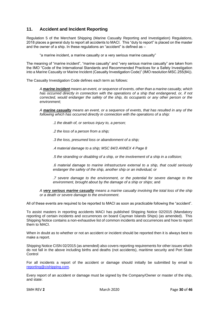## **11. Accident and Incident Reporting**

Regulation 5 of the Merchant Shipping (Marine Casualty Reporting and Investigation) Regulations, 2018 places a general duty to report all accidents to MACI. This "duty to report" is placed on the master and the owner of a ship. In these regulations an "accident" is defined as –

"a marine incident, a marine casualty or a very serious marine casualty"

The meaning of "marine incident", "marine casualty" and "very serious marine casualty" are taken from the IMO "Code of the International Standards and Recommended Practices for a Safety Investigation into a Marine Casualty or Marine Incident (Casualty Investigation Code)" (IMO resolution MSC.255(84)).

The Casualty Investigation Code defines each term as follows:

*A marine incident means an event, or sequence of events, other than a marine casualty, which has occurred directly in connection with the operations of a ship that endangered, or, if not corrected, would endanger the safety of the ship, its occupants or any other person or the environment*;

*A marine casualty means an event, or a sequence of events, that has resulted in any of the following which has occurred directly in connection with the operations of a ship:* 

- *.1 the death of, or serious injury to, a person;*
- *.2 the loss of a person from a ship;*

*.3 the loss, presumed loss or abandonment of a ship;* 

*.4 material damage to a ship; MSC 84/3 ANNEX 4 Page 8* 

*.5 the stranding or disabling of a ship, or the involvement of a ship in a collision;* 

*.6 material damage to marine infrastructure external to a ship, that could seriously endanger the safety of the ship, another ship or an individual; or* 

*.7 severe damage to the environment, or the potential for severe damage to the environment, brought about by the damage of a ship or ships*; and

*A very serious marine casualty means a marine casualty involving the total loss of the ship or a death or severe damage to the environment*.

All of these events are required to be reported to MACI as soon as practicable following the "accident".

To assist masters in reporting accidents MACI has published Shipping Notice 02/2015 (Mandatory reporting of certain incidents and occurrences on board Cayman Islands Ships) (as amended). This Shipping Notice contains a non-exhaustive list of common incidents and occurrences and how to report them to MACI.

When in doubt as to whether or not an accident or incident should be reported then it is always best to make a report.

Shipping Notice CISN 02/2015 (as amended) also covers reporting requirements for other issues which do not fall in the above including births and deaths (not accidents), maritime security and Port State **Control** 

For all incidents a report of the accident or damage should initially be submitted by email to [reporting@cishipping.com.](mailto:%20reporting@cishipping.com)

Every report of an accident or damage must be signed by the Company/Owner or master of the ship, and state: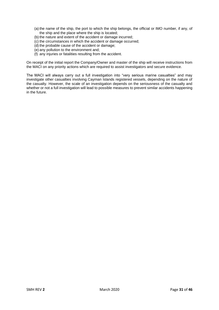- (a) the name of the ship, the port to which the ship belongs, the official or IMO number, if any, of the ship and the place where the ship is located;
- (b) the nature and extent of the accident or damage incurred;
- (c) the circumstances in which the accident or damage occurred;
- (d) the probable cause of the accident or damage;
- (e) any pollution to the environment and;
- (f) any injuries or fatalities resulting from the accident.

On receipt of the initial report the Company/Owner and master of the ship will receive instructions from the MACI on any priority actions which are required to assist investigators and secure evidence.

The MACI will always carry out a full investigation into "very serious marine casualties" and may investigate other casualties involving Cayman Islands registered vessels, depending on the nature of the casualty. However, the scale of an investigation depends on the seriousness of the casualty and whether or not a full investigation will lead to possible measures to prevent similar accidents happening in the future.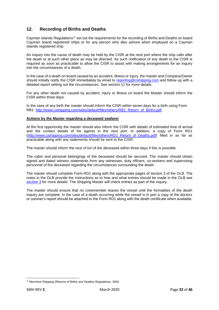## **12. Recording of Births and Deaths**

Cayman Islands Regulations<sup>11</sup> set out the requirements for the recording of Births and Deaths on board Cayman Island registered ships or for any person who dies ashore when employed on a Cayman Islands registered ship.

An inquiry into the cause of death may be held by the CISR at the next port where the ship calls after the death or at such other place as may be directed. As such notification of any death to the CISR is required as soon as practicable to allow the CISR to assist with making arrangements for an inquiry into the circumstances of a death.

In the case of a death on board caused by an accident, illness or injury the master and Company/Owner should initially notify the CISR immediately by email to [reporting@cishipping.com](mailto:reporting@cishipping.com) and follow up with a detailed report setting out the circumstances. See section 11 for more details.

For any other death not caused by accident, injury or illness on board the Master should inform the CISR within three days.

In the case of any birth the master should inform the CISR within seven days for a birth using Form RB1: [http://www.cishipping.com/sites/default/files/others/RB1\\_Return\\_of\\_Births.pdf.](http://www.cishipping.com/sites/default/files/others/RB1_Return_of_Births.pdf)

#### **Actions by the Master regarding a deceased seafarer**

At the first opportunity the master should also inform the CISR with details of estimated time of arrival and the contact details of his agents in the next port. In addition, a copy of Form RD1 [\(http://www.cishipping.com/sites/default/files/others/RD1\\_Return\\_of\\_Deaths.pdf\)](http://www.cishipping.com/sites/default/files/others/RD1_Return_of_Deaths.pdf) filled in as far as practicable along with any statements should be sent to the CISR.

The master should inform the next of kin of the deceased within three days if this is possible.

The cabin and personal belongings of the deceased should be secured. The master should obtain signed and dated witness statements from any witnesses, duty officers, co-workers and supervising personnel of the deceased regarding the circumstances surrounding the death.

The master should complete Form RD1 along with the appropriate pages of section 3 of the OLB. The notes in the OLB provide the instructions as to how and what entries should be made in the OLB see [section 3](#page-12-0) for more details. The Shipping Master will check entries as part of the inquiry.

The master should ensure that no crewmember leaves the vessel until the formalities of the death inquiry are complete. In the case of a death occurring while the vessel is in port a copy of the doctors or coroner's report should be attached to the Form RD1 along with the death certificate when available.

<sup>11</sup> Merchant Shipping (Returns of Births and Deaths) Regulations, 2004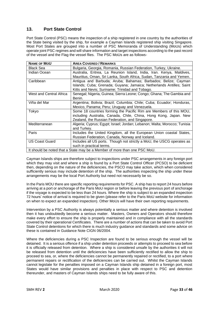## **13. Port State Control**

Port State Control (PSC) means the inspection of a ship registered in one country by the authorities of the State being visited by the ship, for example a Cayman Islands registered ship visiting Singapore. Most Port States are grouped into a number of PSC Memoranda of Understanding (MoUs) which operate joint PSC regimes and will share information and target inspections according to the past record of the vessel and the Flag the vessel flies. The PSC MoUs are as follows-

| <b>NAME OF MOU</b>                                                        | <b>AREA COVERED / REMARKS</b>                                            |  |
|---------------------------------------------------------------------------|--------------------------------------------------------------------------|--|
| Black Sea                                                                 | Bulgaria, Georgia, Romania, Russian Federation, Turkey, Ukraine.         |  |
| Indian Ocean                                                              | Australia, Eritrea, La Reunion Island, India, Iran. Kenya, Maldives,     |  |
|                                                                           | Mauritius, Oman, Sri Lanka, South Africa, Sudan, Tanzania and Yemen.     |  |
| Caribbean                                                                 | Antigua and Barbuda; Aruba; Bahamas; Barbados; Belize; Cayman            |  |
|                                                                           | Islands; Cuba; Grenada; Guyana; Jamaica; Netherlands Antilles; Saint     |  |
|                                                                           | Kitts and Nevis; Suriname; Trinidad and Tobago.                          |  |
| West and Central Africa                                                   | Senegal; Nigeria, Guinea; Sierra Leone; Congo; Ghana; The Gambia and     |  |
|                                                                           | Benin.                                                                   |  |
| Viña del Mar                                                              | Argentina; Bolivia; Brazil; Columbia; Chile; Cuba; Ecuador; Honduras,    |  |
|                                                                           | Mexico, Panama; Peru; Uruguay and Venezuela.                             |  |
| Tokyo                                                                     | Some 18 countries forming the Pacific Rim are Members of this MOU,       |  |
|                                                                           | including Australia, Canada, Chile, China, Hong Kong, Japan. New         |  |
|                                                                           | Zealand, the Russian Federation, and Singapore.                          |  |
| Mediterranean                                                             | Algeria; Cyprus; Egypt; Israel; Jordan; Lebanon; Malta; Morocco; Tunisia |  |
|                                                                           | and Turkey.                                                              |  |
| Paris                                                                     | Includes the United Kingdom, all the European Union coastal States,      |  |
|                                                                           | Russian Federation, Canada, Norway and Iceland.                          |  |
| <b>US Coast Guard</b>                                                     | Includes all US ports. Though not strictly a MoU, the USCG operates as   |  |
|                                                                           | such in practical terms.                                                 |  |
| It should be noted that a State may be a Member of more than one PSC MoU. |                                                                          |  |

Cayman Islands ships are therefore subject to inspections under PSC arrangements in any foreign port which they may visit and where a ship is found by a Port State Control Officer (PCSO) to be deficient then, depending on the nature of the deficiencies, the PSCO may take action, which when considered sufficiently serious may include detention of the ship. The authorities inspecting the ship under these arrangements may be the local Port Authority but need not necessarily be so.

In the Paris MOU there are specific reporting requirements for PSC. A ship has to report 24 hours before arriving at a port or anchorage of the Paris MoU region or before leaving the previous port of anchorage if the voyage is expected to be less than 24 hours. Where the ship is subject to an expanded inspection 72 hours' notice of arrival is required to be given (please refer to the Paris MoU website for information on when to expect an expanded inspection). Other MoUs will have their own reporting requirements.

Intervention by a PSC Authority is always potentially a serious matter and where detention is involved then it has undoubtedly become a serious matter. Masters, Owners and Operators should therefore make every effort to ensure the ship is properly maintained and in compliance with all the standards covered by their operational Certificates. There are a number of actions that can be taken to avoid Port State Control detentions for which there is much industry guidance and standards and some advice on these is contained in Guidance Note CIGN 06/2004.

Where the deficiencies during a PSC Inspection are found to be serious enough the vessel will be detained. It is a serious offence if a ship under detention proceeds or attempts to proceed to sea before it is officially released from detention. Where a ship is considered unsafe by the authorities it will not be released from detention until the deficiencies have been sufficiently rectified to allow the ship to proceed to sea, or, where the deficiencies cannot be permanently repaired or rectified, to a port where permanent repairs or rectification of the deficiencies can be carried out. Whilst the Cayman Islands cannot legislate for the penalties imposed on a Cayman Islands ship detained in a foreign port, most States would have similar provisions and penalties in place with respect to PSC and detention thereunder, and masters of Cayman Islands ships need to be fully aware of this.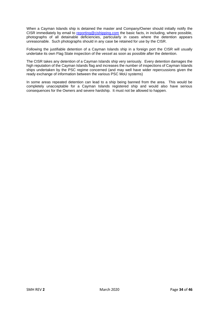When a Cayman Islands ship is detained the master and Company/Owner should initially notify the CISR immediately by email to [reporting@cishipping.com](mailto:reporting@cishipping.com) the basic facts, in including, where possible, photographs of all detainable deficiencies, particularly in cases where the detention appears unreasonable. Such photographs should in any case be retained for use by the CISR.

Following the justifiable detention of a Cayman Islands ship in a foreign port the CISR will usually undertake its own Flag State inspection of the vessel as soon as possible after the detention.

The CISR takes any detention of a Cayman Islands ship very seriously. Every detention damages the high reputation of the Cayman Islands flag and increases the number of inspections of Cayman Islands ships undertaken by the PSC regime concerned (and may well have wider repercussions given the ready exchange of information between the various PSC MoU systems)

In some areas repeated detention can lead to a ship being banned from the area. This would be completely unacceptable for a Cayman Islands registered ship and would also have serious consequences for the Owners and severe hardship. It must not be allowed to happen.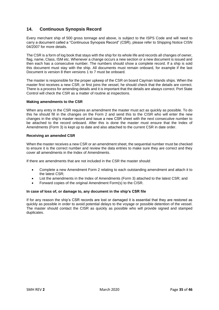## **14. Continuous Synopsis Record**

Every merchant ship of 500 gross tonnage and above, is subject to the ISPS Code and will need to carry a document called a "Continuous Synopsis Record" (CSR), please refer to Shipping Notice CISN 04/2007 for more details.

The CSR is a form of log book that stays with the ship for its whole life and records all changes of owner, flag, name, Class, ISM etc. Whenever a change occurs a new section or a new document is issued and then each has a consecutive number. The numbers should show a complete record. If a ship is sold this document must stay with the ship. All documents must remain onboard, for example if the last Document is version 8 then versions 1 to 7 must be onboard.

The master is responsible for the proper upkeep of the CSR on board Cayman Islands ships. When the master first receives a new CSR, or first joins the vessel, he should check that the details are correct. There is a process for amending details and it is important that the details are always correct. Port State Control will check the CSR as a matter of routine at inspections.

#### **Making amendments to the CSR**

When any entry in the CSR requires an amendment the master must act as quickly as possible. To do this he should fill in the changes on the Form 2 and send this to the CISR who will enter the new changes in the ship's master record and issue a new CSR sheet with the next consecutive number to be attached to the record onboard. After this is done the master must ensure that the Index of Amendments (Form 3) is kept up to date and also attached to the current CSR in date order.

#### **Receiving an amended CSR**

When the master receives a new CSR or an amendment sheet, the sequential number must be checked to ensure it is the correct number and review the data entries to make sure they are correct and they cover all amendments in the Index of Amendments.

If there are amendments that are not included in the CSR the master should:

- Complete a new Amendment Form 2 relating to each outstanding amendment and attach it to the latest CSR;
- List the amendments in the Index of Amendments (Form 3) attached to the latest CSR; and
- Forward copies of the original Amendment Form(s) to the CISR.

#### **In case of loss of, or damage to, any document in the ship's CSR file**

If for any reason the ship's CSR records are lost or damaged it is essential that they are restored as quickly as possible in order to avoid potential delays to the voyage or possible detention of the vessel. The master should contact the CISR as quickly as possible who will provide signed and stamped duplicates.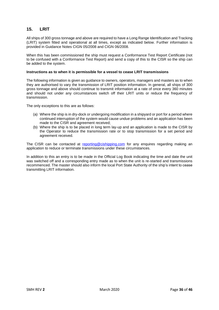## **15. LRIT**

All ships of 300 gross tonnage and above are required to have a Long Range Identification and Tracking (LRIT) system fitted and operational at all times, except as indicated below. Further information is provided in Guidance Notes CIGN 05/2008 and CIGN 06/2008.

When this has been commissioned the ship must request a Conformance Test Report Certificate (not to be confused with a Conformance Test Report) and send a copy of this to the CISR so the ship can be added to the system.

#### **Instructions as to when it is permissible for a vessel to cease LRIT transmissions**

The following information is given as guidance to owners, operators, managers and masters as to when they are authorised to vary the transmission of LRIT position information. In general, all ships of 300 gross tonnage and above should continue to transmit information at a rate of once every 360 minutes and should not under any circumstances switch off their LRIT units or reduce the frequency of transmission.

The only exceptions to this are as follows:

- (a) Where the ship is in dry-dock or undergoing modification in a shipyard or port for a period where continued interruption of the system would cause undue problems and an application has been made to the CISR and agreement received;
- (b) Where the ship is to be placed in long term lay-up and an application is made to the CISR by the Operator to reduce the transmission rate or to stop transmission for a set period and agreement received.

The CISR can be contacted at [reporting@cishipping.com](mailto:reporting@cishipping.com) for any enquires regarding making an application to reduce or terminate transmissions under these circumstances.

In addition to this an entry is to be made in the Official Log Book indicating the time and date the unit was switched off and a corresponding entry made as to when the unit is re-started and transmissions recommenced. The master should also inform the local Port State Authority of the ship's intent to cease transmitting LRIT information.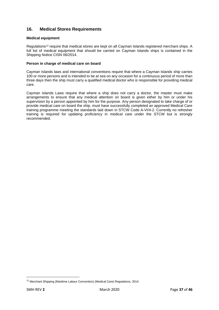## **16. Medical Stores Requirements**

#### **Medical equipment**

Regulations<sup>12</sup> require that medical stores are kept on all Cayman Islands registered merchant ships. A full list of medical equipment that should be carried on Cayman Islands ships is contained in the Shipping Notice CISN 06/2014.

#### **Person in charge of medical care on board**

Cayman Islands laws and international conventions require that where a Cayman Islands ship carries 100 or more persons and is intended to be at sea on any occasion for a continuous period of more than three days then the ship must carry a qualified medical doctor who is responsible for providing medical care.

Cayman Islands Laws require that where a ship does not carry a doctor, the master must make arrangements to ensure that any medical attention on board is given either by him or under his supervision by a person appointed by him for the purpose. Any person designated to take charge of or provide medical care on board the ship, must have successfully completed an approved Medical Care training programme meeting the standards laid down in STCW Code A-VI/4-2. Currently no refresher training is required for updating proficiency in medical care under the STCW but is strongly recommended.

<sup>&</sup>lt;sup>12</sup> Merchant Shipping (Maritime Labour Convention) (Medical Care) Regulations, 2014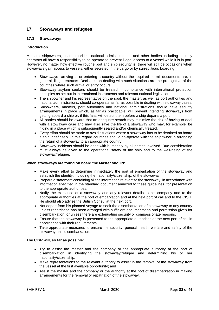## **17. Stowaways and refugees**

## **17.1 Stowaways**

#### **Introduction**

Masters, shipowners, port authorities, national administrations, and other bodies including security operators all have a responsibility to co-operate to prevent illegal access to a vessel while it is in port. However, no matter how effective routine port and ship security is, there will still be occasions when stowaways gain access to vessels, either secreted in the cargo or by surreptitious boarding.

- Stowaways arriving at or entering a country without the required permit documents are, in general, illegal entrants. Decisions on dealing with such situations are the prerogative of the countries where such arrival or entry occurs.
- Stowaway asylum seekers should be treated in compliance with international protection principles as set out in international instruments and relevant national legislation.
- The shipowner and his representative on the spot, the master, as well as port authorities and national administrations, should co-operate as far as possible in dealing with stowaway cases.
- Shipowners, masters, port authorities and national administrations should have security arrangements in place which, as far as practicable, will prevent intending stowaways from getting aboard a ship or, if this fails, will detect them before a ship departs a port.
- All parties should be aware that an adequate search may minimize the risk of having to deal with a stowaway case and may also save the life of a stowaway who may, for example, be hiding in a place which is subsequently sealed and/or chemically treated.
- Every effort should be made to avoid situations where a stowaway has to be detained on board a ship indefinitely. In this regard countries should co-operate with the shipowner in arranging the return of a stowaway to an appropriate country.
- Stowaway incidents should be dealt with humanely by all parties involved. Due consideration must always be given to the operational safety of the ship and to the well-being of the stowaway/refugee.

#### **When stowaways are found on board the Master should:**

- Make every effort to determine immediately the port of embarkation of the stowaway and establish the identity, including the nationality/citizenship, of the stowaway,
- Prepare a statement containing all the information relevant to the stowaway, in accordance with information specified in the standard document annexed to these guidelines, for presentation to the appropriate authorities,
- Notify the existence of a stowaway and any relevant details to his company and to the appropriate authorities at the port of embarkation and at the next port of call and to the CISR. He should also advise the British Consul at the next port,
- Not depart from his planned voyage to seek the disembarkation of a stowaway to any country unless repatriation has been arranged with sufficient documentation and permission given for disembarkation, or unless there are extenuating security or compassionate reasons,
- Ensure that the stowaway is presented to the appropriate authorities at the next port of call in accordance with their requirements,
- Take appropriate measures to ensure the security, general health, welfare and safety of the stowaway until disembarkation.

#### **The CISR will, so far as possible**:

- Try to assist the master and the company or the appropriate authority at the port of disembarkation in identifying the stowaway/refugee and determining his or her nationality/citizenship,
- Make representations to the relevant authority to assist in the removal of the stowaway from the vessel at the first available opportunity; and
- Assist the master and the company or the authority at the port of disembarkation in making arrangements for the removal or repatriation of the stowaway.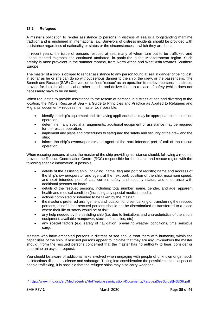#### **17.2 Refugees**

A master's obligation to render assistance to persons in distress at sea is a longstanding maritime tradition and is enshrined in international law. Survivors of distress incidents should be provided with assistance regardless of nationality or status or the circumstances in which they are found.

In recent years, the issue of persons rescued at sea, many of whom turn out to be trafficked and undocumented migrants has continued unabated, in particular in the Mediterranean region. Such activity is most prevalent in the summer months, from North Africa and West Asia towards Southern Europe.

The master of a ship is obliged to render assistance to any person found at sea in danger of being lost, in so far as he or she can do so without serious danger to the ship, the crew, or the passengers. The Search and Rescue (SAR) Convention defines 'rescue' as an operation to retrieve persons in distress, provide for their initial medical or other needs, and deliver them to a place of safety (which does not necessarily have to be on land).

When requested to provide assistance to the rescue of persons in distress at sea and diverting to the location, the IMO's 'Rescue at Sea – a Guide to Principles and Practice as Applied to Refugees and Migrants' document<sup>13</sup> requires the master to, if possible:

- identify the ship's equipment and life-saving appliances that may be appropriate for the rescue operation;
- determine if any special arrangements, additional equipment or assistance may be required for the rescue operation;
- implement any plans and procedures to safeguard the safety and security of the crew and the ship;
- inform the ship's owner/operator and agent at the next intended port of call of the rescue operation.

When rescuing persons at sea, the master of the ship providing assistance should, following a request, provide the Rescue Coordination Centre (RCC) responsible for the search and rescue region with the following specific information, if possible:

- details of the assisting ship, including: name, flag and port of registry; name and address of the ship's owner/operator and agent at the next port; position of the ship, maximum speed, and next intended port of call; current safety and security status, and endurance with additional persons on board;
- details of the rescued persons, including: total number; name, gender, and age; apparent health and medical condition (including any special medical needs);
- actions completed or intended to be taken by the master;
- the master's preferred arrangement and location for disembarking or transferring the rescued persons, mindful that rescued persons should not be disembarked or transferred to a place where their life or safety would be at risk;
- any help needed by the assisting ship (i.e. due to limitations and characteristics of the ship's equipment, available manpower, stocks of supplies, etc);
- any special factors (e.g. safety of navigation, prevailing weather conditions, time sensitive cargo.

Masters who have embarked persons in distress at sea should treat them with humanity, within the capabilities of the ship. If rescued persons appear to indicate that they are asylum-seekers the master should inform the rescued persons concerned that the master has no authority to hear, consider or determine an asylum request.

You should be aware of additional risks involved when engaging with people of unknown origin, such as infectious disease, violence and sabotage. Taking into consideration the possible criminal aspect of people trafficking, it is possible that the refugee ships may also carry weapons.

<sup>13</sup> <http://www.imo.org/en/MediaCentre/HotTopics/seamigration/Documents/RescueatSeaGuideENGLISH.pdf>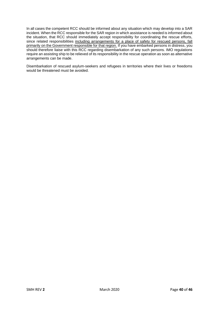In all cases the competent RCC should be informed about any situation which may develop into a SAR incident. When the RCC responsible for the SAR region in which assistance is needed is informed about the situation, that RCC should immediately accept responsibility for coordinating the rescue efforts, since related responsibilities including arrangements for a place of safety for rescued persons, fall primarily on the Government responsible for that region. If you have embarked persons in distress, you should therefore liaise with this RCC regarding disembarkation of any such persons. IMO regulations require an assisting ship to be relieved of its responsibility in the rescue operation as soon as alternative arrangements can be made.

Disembarkation of rescued asylum-seekers and refugees in territories where their lives or freedoms would be threatened must be avoided.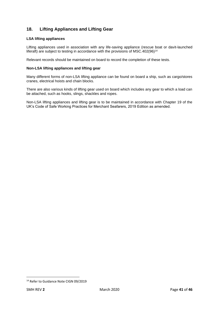## **18. Lifting Appliances and Lifting Gear**

## **LSA lifting appliances**

Lifting appliances used in association with any life-saving appliance (rescue boat or davit-launched liferaft) are subject to testing in accordance with the provisions of MSC.402(96)<sup>14</sup>

Relevant records should be maintained on board to record the completion of these tests.

#### **Non-LSA lifting appliances and lifting gear**

Many different forms of non-LSA lifting appliance can be found on board a ship, such as cargo/stores cranes, electrical hoists and chain blocks.

There are also various kinds of lifting gear used on board which includes any gear to which a load can be attached, such as hooks, slings, shackles and ropes.

Non-LSA lifting appliances and lifting gear is to be maintained in accordance with Chapter 19 of the UK's Code of Safe Working Practices for Merchant Seafarers, 2019 Edition as amended.

<sup>&</sup>lt;sup>14</sup> Refer to Guidance Note CIGN 09/2019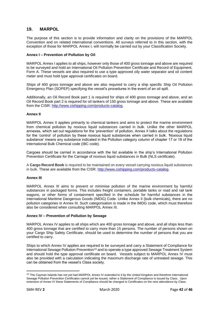## **19. MARPOL**

The purpose of this section is to provide information and clarity on the provisions of the MARPOL Convention and on related international conventions. All surveys referred to in this section, with the exception of those for MARPOL Annex I, will normally be carried out by your Classification Society.

#### **Annex I – Prevention of Pollution by Oil**

MARPOL Annex I applies to all ships, however only those of 400 gross tonnage and above are required to be surveyed and hold an International Oil Pollution Prevention Certificate and Record of Equipment, Form A. These vessels are also required to use a type approved oily water separator and oil content meter and must hold type approval certificates on board.

Ships of 400 gross tonnage and above are also required to carry a ship specific Ship Oil Pollution Emergency Plan (SOPEP) specifying the vessel's procedures in the event of an oil spill.

Additionally, an Oil Record Book part 1 is required for ships of 400 gross tonnage and above, and an Oil Record Book part 2 is required for oil tankers of 150 gross tonnage and above. These are available from the CISR: [http://www.cishipping.com/products-catalog.](http://www.cishipping.com/products-catalog)

#### **Annex II**

MARPOL Annex II applies primarily to chemical tankers and aims to protect the marine environment from chemical pollution by noxious liquid substances carried in bulk. Unlike the other MARPOL annexes, which set out regulations for the 'prevention' of pollution, Annex II talks about the regulations for the 'control' of pollution by these noxious liquid substances when carried in bulk. 'Noxious liquid substance' means any substance indicated in the Pollution category column of chapter 17 or 18 of the International Bulk Chemical code (IBC code).

Cargoes should be carried in accordance with the list available in the ship's International Pollution Prevention Certificate for the Carriage of noxious liquid substances in Bulk (NLS certificate).

A **Cargo Record Book** is required to be maintained on every vessel carrying noxious liquid substances in bulk. These are available from the CISR: [http://www.cishipping.com/products-catalog.](http://www.cishipping.com/products-catalog)

#### **Annex III**

MARPOL Annex III aims to prevent or minimise pollution of the marine environment by harmful substances in packaged forms. This includes freight containers, portable tanks or road and rail tank wagons, or other forms of containment specified in the schedule for harmful substances in the International Maritime Dangerous Goods (IMDG) Code. Unlike Annex II (bulk chemicals), there are no pollution categories in Annex III. Such categorisation is made in the IMDG code, which must therefore also be considered when consulting MARPOL Annex III.

#### **Annex IV – Prevention of Pollution by Sewage**

MARPOL Annex IV applies to all ships which are 400 gross tonnage and above, and all ships less than 400 gross tonnage that are certified to carry more than 15 persons. The number of persons shown on your Cargo Ship Safety Certificate, should be used to determine the number of persons that you are certified to carry.

Ships to which Annex IV applies are required to be surveyed and carry a Statement of Compliance for International Sewage Pollution Prevention<sup>15</sup> and to operate a type approved Sewage Treatment System and should hold the type approval certificate on board. Vessels subject to MARPOL Annex IV must also be provided with a calculation indicating the maximum discharge rate of untreated sewage. This can be obtained from the vessel's Class society.

<sup>&</sup>lt;sup>15</sup> The Cayman Islands has not yet had MARPOL Annex IV extended to it by the United Kingdom and therefore International Sewage Pollution Prevention Certificates cannot yet be issued, rather a Statement of Compliance is issued by Class. Upon extension of Annex IV these Statements of Compliance should be changed to Certificates on the next attendance by Class.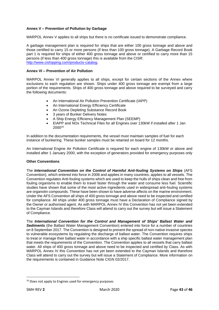#### **Annex V – Prevention of Pollution by Garbage**

MARPOL Annex V applies to all ships but there is no certificate issued to demonstrate compliance.

A garbage management plan is required for ships that are either 100 gross tonnage and above and those certified to carry 15 or more persons (if less than 100 gross tonnage). A Garbage Record Book part 1 is required for ships of either 400 gross tonnage and above or certified to carry more than 15 persons (if less than 400 gross tonnage) this is available from the CISR: [http://www.cishipping.com/products-catalog.](http://www.cishipping.com/products-catalog)

#### **Annex VI – Prevention of Air Pollution**

MARPOL Annex VI generally applies to all ships, except for certain sections of the Annex where exclusions to each regulation are shown. Ships under 400 gross tonnage are exempt from a large portion of the requirements. Ships of 400 gross tonnage and above required to be surveyed and carry the following documents:

- An International Air Pollution Prevention Certificate (IAPP)
- An International Energy Efficiency Certificate
- An Ozone Depleting Substance Record Book
- 3 years of Bunker Delivery Notes
- A Ship Energy Efficiency Management Plan (SEEMP)
- EIAPP and NOx Technical Files for all Engines over 130kW if installed after 1 Jan 2000<sup>16</sup>

In addition to the documentation requirements, the vessel must maintain samples of fuel for each instance of bunkering. These bunker samples must be retained on board for 12 months.

An International Engine Air Pollution Certificate is required for each engine of 130kW or above and installed after 1 January 2000, with the exception of generators provided for emergency purposes only

#### **Other Conventions**

The *International Convention on the Control of Harmful Anti-fouling Systems on Ships* (AFS Convention), which entered into force in 2008 and applies in many countries, applies to all vessels. The Convention regulates Anti-fouling systems which are used to keep the hulls of ships clean and free from fouling organisms to enable them to travel faster through the water and consume less fuel. Scientific studies have shown that some of the most active ingredients used in widespread anti-fouling systems are organotin compounds. These have been shown to have adverse affects on the marine environment. Under the AFS Convention all ships of 400 gross tonnage and above need to be inspected and certified for compliance. All ships under 400 gross tonnage must have a Declaration of Compliance signed by the Owner or authorised agent. As with MARPOL Annex IV this Convention has not yet been extended to the Cayman Islands and therefore Class will attend to carry out the survey but will issue a Statement of Compliance.

The *International Convention for the Control and Management of Ships' Ballast Water and Sediments* (the Ballast Water Management Convention) entered into force for a number of countries on 8 September 2017. The Convention is designed to prevent the spread of non-native invasive species to vulnerable ecosystems by regulating the discharge of ballast water. The Convention requires ships to treat or manage their ballast water in accordance with a ship specific ballast water management plan that meets the requirements of the Convention. The Convention applies to all vessels that carry ballast water. All ships of 400 gross tonnage and above need to be inspected and certified by Class. As with MARPOL Annex IV this Convention has not yet been extended to the Cayman Islands and therefore Class will attend to carry out the survey but will issue a Statement of Compliance. More information on the requirements is contained in Guidance Note CIGN 02/2017.

<sup>&</sup>lt;sup>16</sup> Does not apply to Engines used for emergency purposes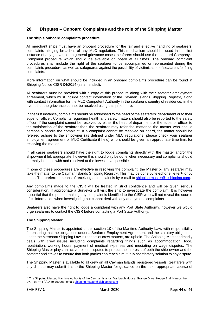## **20. Disputes – Onboard Complaints and the role of the Shipping Master**

#### **The ship's onboard complaints procedure**

All merchant ships must have an onboard procedure for the fair and effective handling of seafarers' complaints alleging breaches of any MLC regulation. This mechanism should be used in the first instance of any grievance. In general grievance cases, seafarers should use the standard Company's Complaint procedure which should be available on board at all times. The onboard complaint procedures shall include the right of the seafarer to be accompanied or represented during the complaints procedure, as well as safeguards against the possibility of victimization of seafarers for filing complaints.

More information on what should be included in an onboard complaints procedure can be found in Shipping Notice CISR 04/2014 (as amended).

All seafarers must be provided with a copy of this procedure along with their seafarer employment agreement, which must include contact information of the Cayman Islands Shipping Registry, along with contact information for the MLC Competent Authority in the seafarer's country of residence, in the event that the grievance cannot be resolved using this procedure.

In the first instance, complaints should be addressed to the head of the seafarers' department or to their superior officer. Complaints regarding health and safety matters should also be reported to the safety officer. If the complaint cannot be resolved by either the head of department or the superior officer to the satisfaction of the seafarer then the seafarer may refer the matter to the master who should personally handle the complaint. If a complaint cannot be resolved on board, the matter should be referred ashore to the shipowner (as defined under MLC regulations, please check your seafarer employment agreement or MLC Certificate if held) who should be given an appropriate time limit for resolving the matter.

In all cases seafarers should have the right to lodge complaints directly with the master and/or the shipowner if felt appropriate, however this should only be done when necessary and complaints should normally be dealt with and resolved at the lowest level possible.

If none of these procedures are effective in resolving the complaint, the Master or any seafarer may take the matter to the Cayman Islands Shipping Registry. This may be done by telephone, letter<sup>17</sup> or by email. The preferred means of receiving a complaint is by e-mail to [shipping.master@cishipping.com.](mailto:shipping.master@cishipping.com)

Any complaints made to the CISR will be treated in strict confidence and will be given serious consideration. If appropriate a Surveyor will visit the ship to investigate the complaint. It is however essential that the person making any complaint is identified to the CISR who will not reveal the source of its information when investigating but cannot deal with any anonymous complaints.

Seafarers also have the right to lodge a complaint with any Port State Authority, however we would urge seafarers to contact the CISR before contacting a Port State Authority.

#### **The Shipping Master**

The Shipping Master is appointed under section 10 of the Maritime Authority Law, with responsibility for ensuring that the obligations under a Seafarer Employment Agreement and the statutory obligations under the Merchant Shipping Law in respect of crew matters, are upheld. The Shipping Master primarily deals with crew issues including complaints regarding things such as accommodation, food, repatriation, working hours, payment of medical expenses and mediating on wage disputes. The Shipping Master plays an active role in disputes to protect the interests of both the ship-owner and the seafarer and strives to ensure that both parties can reach a mutually satisfactory solution to any dispute.

The Shipping Master is available to all crew on all Cayman Islands registered vessels. Seafarers with any dispute may submit this to the Shipping Master for guidance on the most appropriate course of

<sup>&</sup>lt;sup>17</sup> The Shipping Master, Maritime Authority of the Cayman Islands, Vanbrugh House, Grange Drive, Hedge End, Hampshire, UK. Tel: +44 (0)1489 799203; email: shipping.master@cishipping.com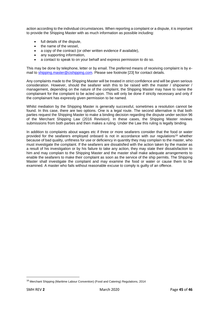action according to the individual circumstances. When reporting a complaint or a dispute, it is important to provide the Shipping Master with as much information as possible including:

- full details of the dispute,
- the name of the vessel,
- a copy of the contract (or other written evidence if available),
- any supporting information.
- a contact to speak to on your behalf and express permission to do so.

This may be done by telephone, letter or by email. The preferred means of receiving complaint is by email to shipping master@cishipping.com. Please see footnote [23] for contact details.

Any complaints made to the Shipping Master will be treated in strict confidence and will be given serious consideration. However, should the seafarer wish this to be raised with the master / shipowner / management, depending on the nature of the complaint, the Shipping Master may have to name the complainant for the complaint to be acted upon. This will only be done if strictly necessary and only if the complainant has expressly given permission to be named.

Whilst mediation by the Shipping Master is generally successful, sometimes a resolution cannot be found. In this case, there are two options. One is a legal route. The second alternative is that both parties request the Shipping Master to make a binding decision regarding the dispute under section 96 of the Merchant Shipping Law (2016 Revision). In these cases, the Shipping Master reviews submissions from both parties and then makes a ruling. Under the Law this ruling is legally binding.

In addition to complaints about wages etc if three or more seafarers consider that the food or water provided for the seafarers employed onboard is not in accordance with our regulations<sup>18</sup> whether because of bad quality, unfitness for use or deficiency in quantity they may complain to the master, who must investigate the complaint. If the seafarers are dissatisfied with the action taken by the master as a result of his investigation or by his failure to take any action, they may state their dissatisfaction to him and may complain to the Shipping Master and the master shall make adequate arrangements to enable the seafarers to make their complaint as soon as the service of the ship permits. The Shipping Master shall investigate the complaint and may examine the food or water or cause them to be examined. A master who fails without reasonable excuse to comply is guilty of an offence.

<sup>&</sup>lt;sup>18</sup> Merchant Shipping (Maritime Labour Convention) (Food and Catering) Regulations, 2014